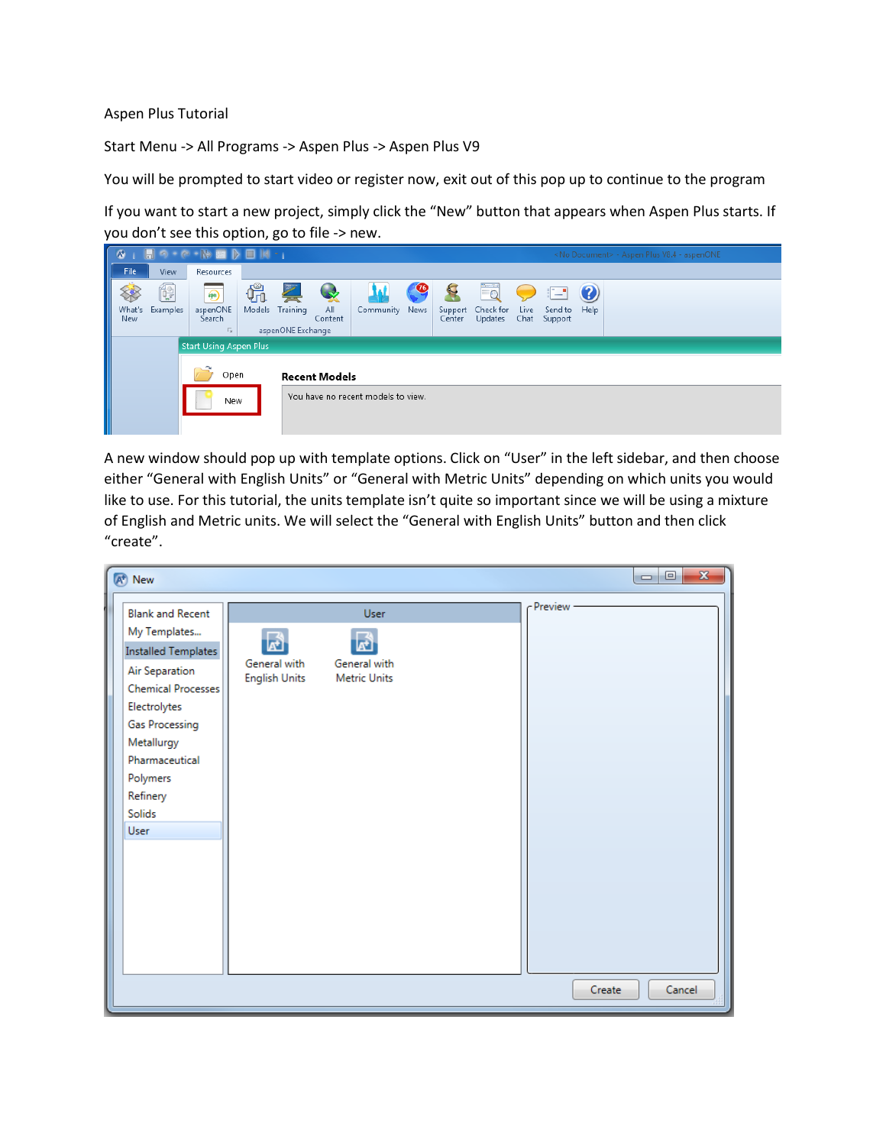## Aspen Plus Tutorial

Start Menu -> All Programs -> Aspen Plus -> Aspen Plus V9

You will be prompted to start video or register now, exit out of this pop up to continue to the program

If you want to start a new project, simply click the "New" button that appears when Aspen Plus starts. If you don't see this option, go to file -> new.

| W.                                  | 周の• @ •(※ 画 》 ■ 図 •  <br><no document=""> - Aspen Plus V8.4 - aspenONE</no> |                                                                   |              |                                    |                |                                    |                       |                   |                                   |      |                                     |           |  |
|-------------------------------------|-----------------------------------------------------------------------------|-------------------------------------------------------------------|--------------|------------------------------------|----------------|------------------------------------|-----------------------|-------------------|-----------------------------------|------|-------------------------------------|-----------|--|
| File.                               | View                                                                        | Resources                                                         |              |                                    |                |                                    |                       |                   |                                   |      |                                     |           |  |
| What's<br><b>New</b>                | í,<br>Examples                                                              | $\circledast$<br>aspenONE<br>Search<br>$\overline{\Gamma_{2d}}$ . | Ψπ<br>Models | Z<br>Training<br>aspenONE Exchange | All<br>Content | Community News                     | $\boldsymbol{\sigma}$ | Support<br>Center | <b>Fo</b><br>Check for<br>Updates | Live | $\equiv$<br>Send to<br>Chat Support | 3<br>Help |  |
|                                     |                                                                             | <b>Start Using Aspen Plus</b>                                     |              |                                    |                |                                    |                       |                   |                                   |      |                                     |           |  |
| Open<br><b>Recent Models</b><br>New |                                                                             |                                                                   |              |                                    |                | You have no recent models to view. |                       |                   |                                   |      |                                     |           |  |

A new window should pop up with template options. Click on "User" in the left sidebar, and then choose either "General with English Units" or "General with Metric Units" depending on which units you would like to use. For this tutorial, the units template isn't quite so important since we will be using a mixture of English and Metric units. We will select the "General with English Units" button and then click "create".

| A <sup>+</sup> New                                                                                                                                                                                                               |                                           |                                                    | $\mathbf{x}$<br>$\Box$<br>$\blacksquare$ |
|----------------------------------------------------------------------------------------------------------------------------------------------------------------------------------------------------------------------------------|-------------------------------------------|----------------------------------------------------|------------------------------------------|
| <b>Blank and Recent</b><br>My Templates<br><b>Installed Templates</b><br>Air Separation<br>Chemical Processes<br>Electrolytes<br><b>Gas Processing</b><br>Metallurgy<br>Pharmaceutical<br>Polymers<br>Refinery<br>Solids<br>User | 圖<br>General with<br><b>English Units</b> | <b>User</b><br>General with<br><b>Metric Units</b> | - Preview                                |
|                                                                                                                                                                                                                                  |                                           |                                                    | Cancel<br>Create                         |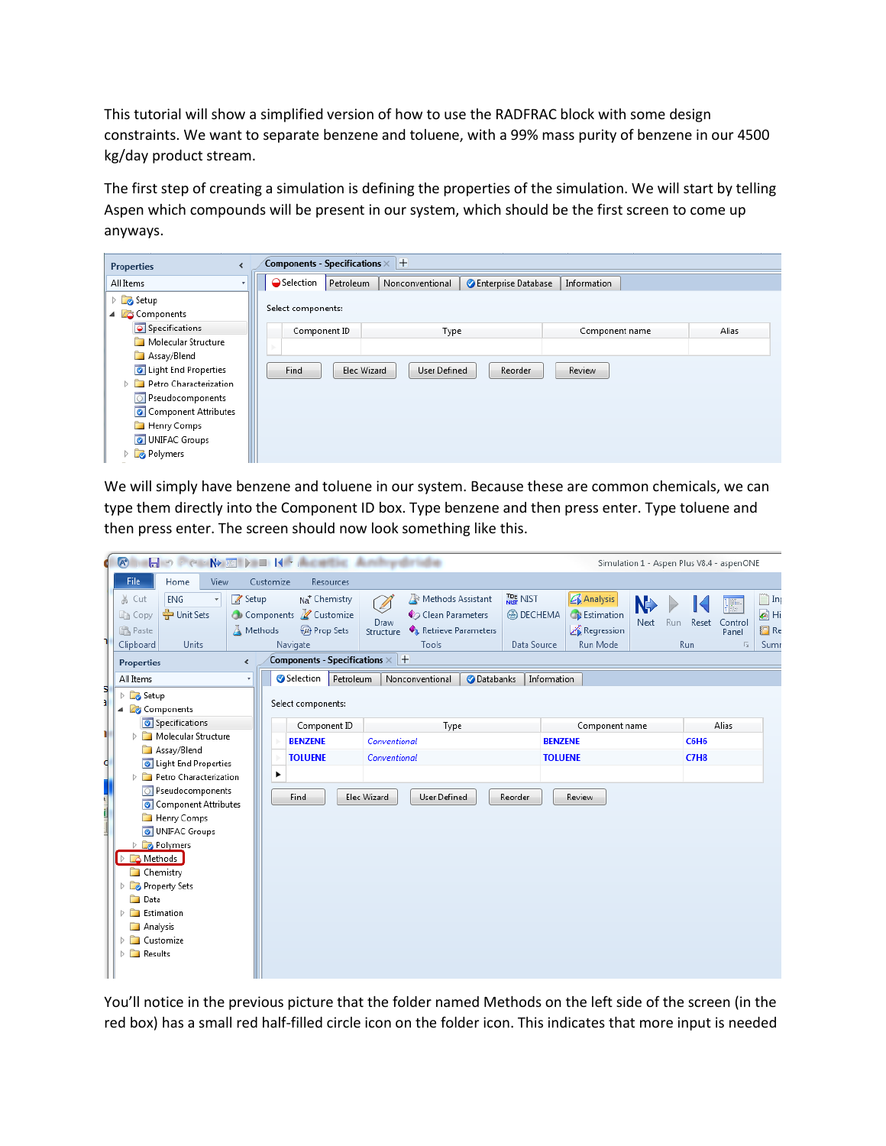This tutorial will show a simplified version of how to use the RADFRAC block with some design constraints. We want to separate benzene and toluene, with a 99% mass purity of benzene in our 4500 kg/day product stream.

The first step of creating a simulation is defining the properties of the simulation. We will start by telling Aspen which compounds will be present in our system, which should be the first screen to come up anyways.

| Components - Specifications $\times$ +<br><b>Properties</b> |   |                    |           |                             |                     |                |       |  |  |  |
|-------------------------------------------------------------|---|--------------------|-----------|-----------------------------|---------------------|----------------|-------|--|--|--|
| All Items                                                   | ÷ | ●Selection         | Petroleum | Nonconventional             | Enterprise Database | Information    |       |  |  |  |
| Setup<br>Components                                         |   | Select components: |           |                             |                     |                |       |  |  |  |
| Specifications                                              |   | Component ID       |           | Type                        |                     | Component name | Alias |  |  |  |
| Molecular Structure                                         |   |                    |           |                             |                     |                |       |  |  |  |
| Assay/Blend                                                 |   |                    |           |                             |                     |                |       |  |  |  |
| C Light End Properties                                      |   | Find               |           | Elec Wizard<br>User Defined | Reorder             | Review         |       |  |  |  |
| Petro Characterization<br>$\overline{\phantom{a}}$<br>Þ     |   |                    |           |                             |                     |                |       |  |  |  |
| O Pseudocomponents                                          |   |                    |           |                             |                     |                |       |  |  |  |
| Component Attributes                                        |   |                    |           |                             |                     |                |       |  |  |  |
| Henry Comps                                                 |   |                    |           |                             |                     |                |       |  |  |  |
| <b>O</b> UNIFAC Groups                                      |   |                    |           |                             |                     |                |       |  |  |  |
| Polymers                                                    |   |                    |           |                             |                     |                |       |  |  |  |

We will simply have benzene and toluene in our system. Because these are common chemicals, we can type them directly into the Component ID box. Type benzene and then press enter. Type toluene and then press enter. The screen should now look something like this.

| 1       | $\sqrt{A^*}$                                                                                                                                                                                                                                                         | <b>INCORPORATION IN ACTIVE AND</b><br>ar dir tulia                                                                                                                                                                                                                                                                                                                                                                                                                                  | Simulation 1 - Aspen Plus V8.4 - aspenONE                                                                                                    |
|---------|----------------------------------------------------------------------------------------------------------------------------------------------------------------------------------------------------------------------------------------------------------------------|-------------------------------------------------------------------------------------------------------------------------------------------------------------------------------------------------------------------------------------------------------------------------------------------------------------------------------------------------------------------------------------------------------------------------------------------------------------------------------------|----------------------------------------------------------------------------------------------------------------------------------------------|
|         | File.<br>View<br>Home                                                                                                                                                                                                                                                | Customize<br><b>Resources</b>                                                                                                                                                                                                                                                                                                                                                                                                                                                       |                                                                                                                                              |
| 5<br>al | & Cut<br><b>ENG</b><br>Setup<br><b>←</b> Unit Sets<br>lia Copy<br>圖 Paste<br>Clipboard<br>Units<br><b>Properties</b><br>∢<br>All Items<br>Setup<br>Þ<br>Components<br>4<br>Specifications                                                                            | <b>TDE NIST</b><br><b>Analysis</b><br>Na <sup>+</sup> Chemistry<br>Methods Assistant<br>Components Z Customize<br><b>B</b> DECHEMA<br><b>B</b> Estimation<br>Clean Parameters<br>Draw<br>Retrieve Parameters<br><b>Prop Sets</b><br>Regression<br>A Methods<br>Structure<br>Run Mode<br>Tools<br>Data Source<br>Navigate<br>Components - Specifications $\times$ $+$<br>Selection<br>Petroleum<br>Nonconventional<br><b>O</b> Databanks<br><b>Information</b><br>Select components: | inp Inp<br>N.<br>Įp.<br>$\bigcirc$ Hi<br>Reset<br>Next<br><b>Run</b><br>Control<br><b>日</b> Re<br>Panel<br><b>Run</b><br>Fs.<br>Sum<br>Alias |
| ۱       | Molecular Structure<br>Þ                                                                                                                                                                                                                                             | Component ID<br>Component name<br>Type<br>Conventional<br><b>BENZENE</b><br><b>BENZENE</b>                                                                                                                                                                                                                                                                                                                                                                                          | <b>C6H6</b>                                                                                                                                  |
|         | Assay/Blend                                                                                                                                                                                                                                                          | <b>TOLUENE</b><br>Conventional<br><b>TOLUENE</b>                                                                                                                                                                                                                                                                                                                                                                                                                                    | <b>C7H8</b>                                                                                                                                  |
| d       | Light End Properties<br>Petro Characterization<br>Þ                                                                                                                                                                                                                  |                                                                                                                                                                                                                                                                                                                                                                                                                                                                                     |                                                                                                                                              |
| t.<br>1 | <b>Pseudocomponents</b><br>Component Attributes<br>Henry Comps<br>UNIFAC Groups<br>Polymers<br>D.<br><b>B</b> Methods<br><b>Chemistry</b><br>Property Sets<br>Þ<br>Data<br>Estimation<br>Þ<br>Analysis<br>Customize<br>b.<br>$\triangleright$ $\blacksquare$ Results | Find<br>Elec Wizard<br>User Defined<br>Reorder<br>Review                                                                                                                                                                                                                                                                                                                                                                                                                            |                                                                                                                                              |

You'll notice in the previous picture that the folder named Methods on the left side of the screen (in the red box) has a small red half-filled circle icon on the folder icon. This indicates that more input is needed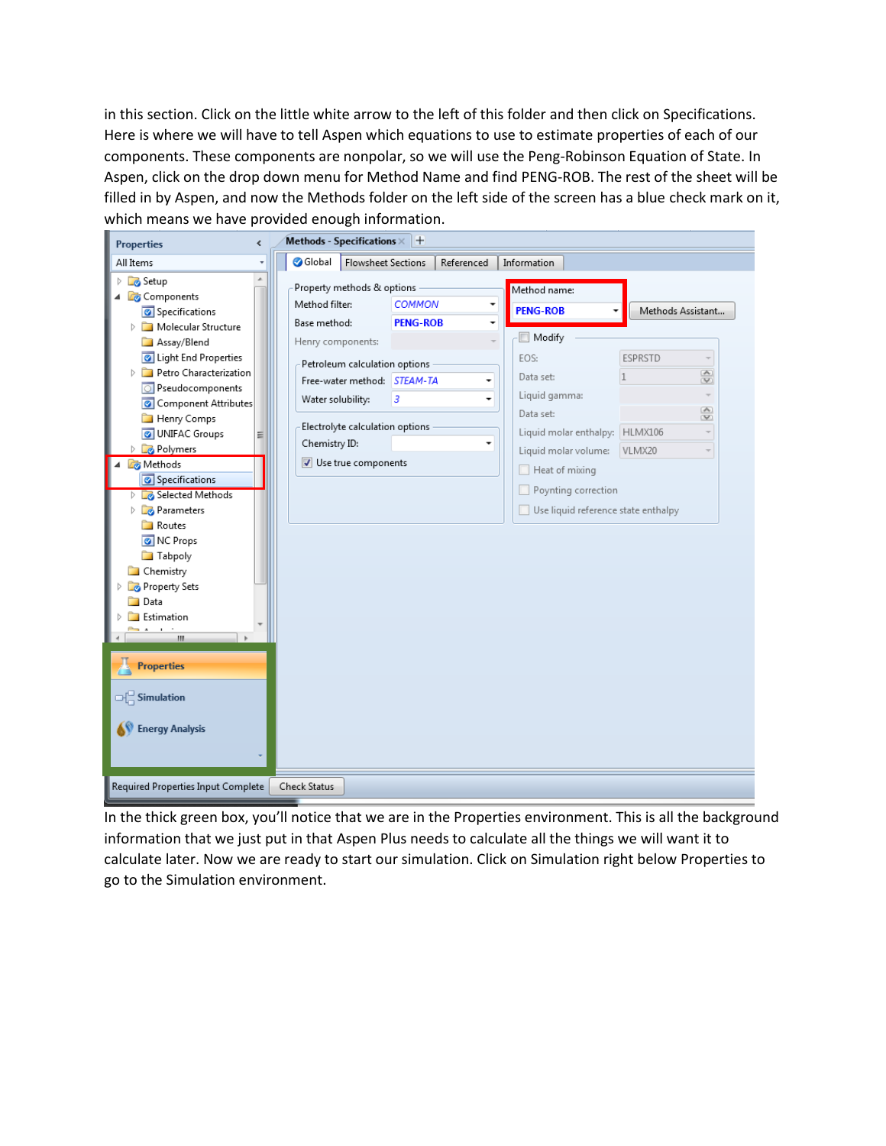in this section. Click on the little white arrow to the left of this folder and then click on Specifications. Here is where we will have to tell Aspen which equations to use to estimate properties of each of our components. These components are nonpolar, so we will use the Peng-Robinson Equation of State. In Aspen, click on the drop down menu for Method Name and find PENG-ROB. The rest of the sheet will be filled in by Aspen, and now the Methods folder on the left side of the screen has a blue check mark on it, which means we have provided enough information.

| <b>Properties</b><br>¢                                                                                                                                                                                                                                                                                                                                                                                                                                  | Methods - Specifications $\times$ $+$                                                                                                                                                                  |                           |                                                                                                                                                                                                    |                                                                                                                                                           |
|---------------------------------------------------------------------------------------------------------------------------------------------------------------------------------------------------------------------------------------------------------------------------------------------------------------------------------------------------------------------------------------------------------------------------------------------------------|--------------------------------------------------------------------------------------------------------------------------------------------------------------------------------------------------------|---------------------------|----------------------------------------------------------------------------------------------------------------------------------------------------------------------------------------------------|-----------------------------------------------------------------------------------------------------------------------------------------------------------|
| All Items                                                                                                                                                                                                                                                                                                                                                                                                                                               | Global<br><b>Flowsheet Sections</b>                                                                                                                                                                    | Referenced                | Information                                                                                                                                                                                        |                                                                                                                                                           |
| <b>B</b> Setup<br>Components<br>Specifications                                                                                                                                                                                                                                                                                                                                                                                                          | Property methods & options<br>Method filter:                                                                                                                                                           | <b>COMMON</b><br>٠        | Method name:<br><b>PENG-ROB</b>                                                                                                                                                                    | Methods Assistant                                                                                                                                         |
| Molecular Structure<br>Assay/Blend<br>Ight End Properties<br>Petro Characterization<br>Pseudocomponents<br>Component Attributes<br>Henry Comps<br><b>O</b> UNIFAC Groups<br>Ξ<br>Polymers<br>Methods<br>Specifications<br>Selected Methods<br><b>Parameters</b><br>Þ<br>Routes<br>NC Props<br><b>Tabpoly</b><br><b>Chemistry</b><br>Property Sets<br><b>Data</b><br>Estimation<br>Ш<br><b>Properties</b><br>$\Box$ Simulation<br><b>Energy Analysis</b> | Base method:<br>Henry components:<br>Petroleum calculation options<br>Free-water method: STEAM-TA<br>3<br>Water solubility:<br>Electrolyte calculation options<br>Chemistry ID:<br>Use true components | <b>PENG-ROB</b><br>۰<br>۰ | Modify<br>EOS:<br>Data set:<br>Liquid gamma:<br>Data set:<br>Liquid molar enthalpy:<br>Liquid molar volume:<br>$\Box$ Heat of mixing<br>Poynting correction<br>Use liquid reference state enthalpy | <b>ESPRSTD</b><br>$\overline{\phantom{a}}$<br>$\overline{\left( \mathbb{A}\right) }$<br>$\mathbf{1}$<br>$\overline{\mathbf{v}}$<br>S<br>HLMX106<br>VLMX20 |
| Required Properties Input Complete                                                                                                                                                                                                                                                                                                                                                                                                                      | Check Status                                                                                                                                                                                           |                           |                                                                                                                                                                                                    |                                                                                                                                                           |

In the thick green box, you'll notice that we are in the Properties environment. This is all the background information that we just put in that Aspen Plus needs to calculate all the things we will want it to calculate later. Now we are ready to start our simulation. Click on Simulation right below Properties to go to the Simulation environment.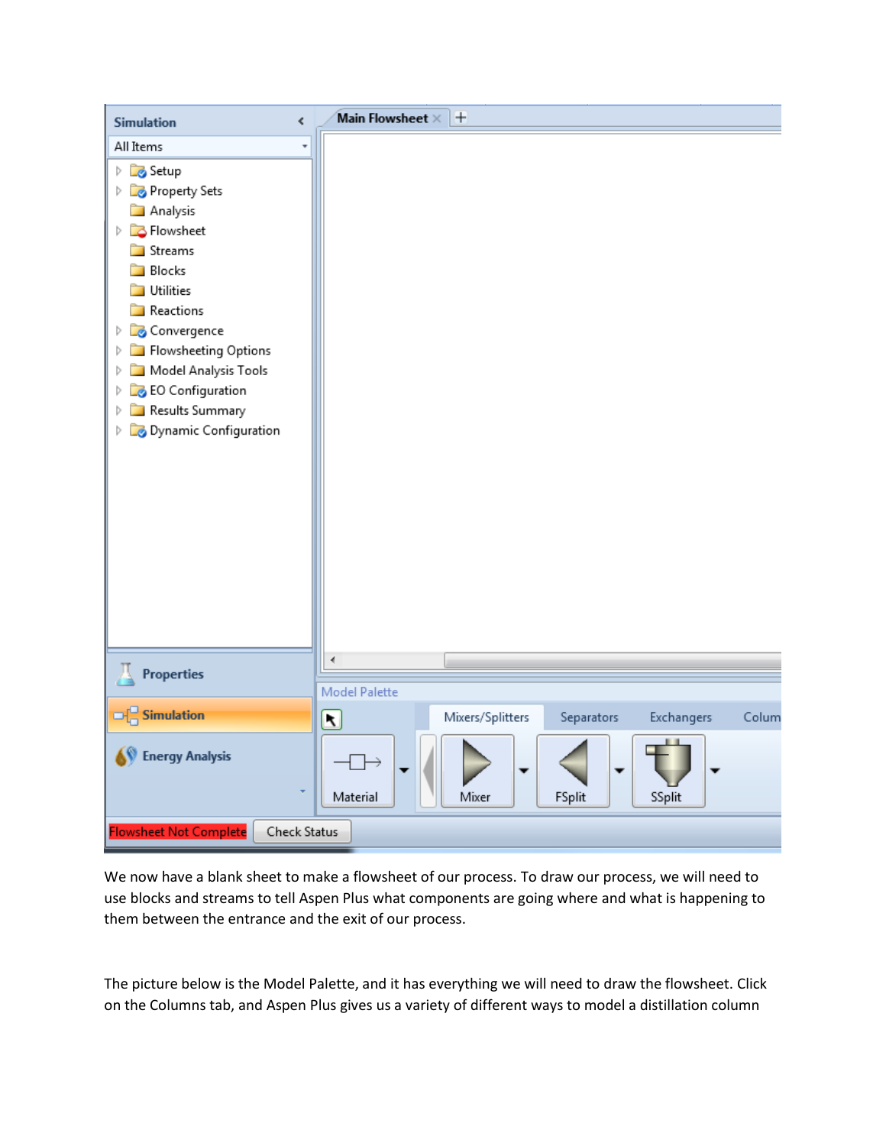| ¢<br><b>Simulation</b>                                                                                                                                                                                                                                                                                                                      | Main Flowsheet $\times$ $+$                                                                                        |       |
|---------------------------------------------------------------------------------------------------------------------------------------------------------------------------------------------------------------------------------------------------------------------------------------------------------------------------------------------|--------------------------------------------------------------------------------------------------------------------|-------|
| All Items<br><b>B</b> Setup<br>Þ<br>Property Sets<br>Þ<br><b>Analysis</b><br><b>B</b> Flowsheet<br>Þ<br><b>Streams</b><br>Blocks<br>n.<br>Utilities<br>◘<br>Reactions<br>Convergence<br>Þ<br>Flowsheeting Options<br>Þ<br>Model Analysis Tools<br>Þ<br><b>B</b> EO Configuration<br>Þ<br>Results Summary<br>Þ<br>Dynamic Configuration<br>Þ |                                                                                                                    |       |
| <b>Properties</b>                                                                                                                                                                                                                                                                                                                           | ∢<br>Model Palette                                                                                                 |       |
| $\Box$ Simulation<br><b>Energy Analysis</b>                                                                                                                                                                                                                                                                                                 | Mixers/Splitters<br>Separators<br>Exchangers<br>$\left[\mathbf{x}\right]$<br>Mixer<br>FSplit<br>Material<br>SSplit | Colum |
| <b>Flowsheet Not Complete</b><br>Check Status                                                                                                                                                                                                                                                                                               |                                                                                                                    |       |

We now have a blank sheet to make a flowsheet of our process. To draw our process, we will need to use blocks and streams to tell Aspen Plus what components are going where and what is happening to them between the entrance and the exit of our process.

The picture below is the Model Palette, and it has everything we will need to draw the flowsheet. Click on the Columns tab, and Aspen Plus gives us a variety of different ways to model a distillation column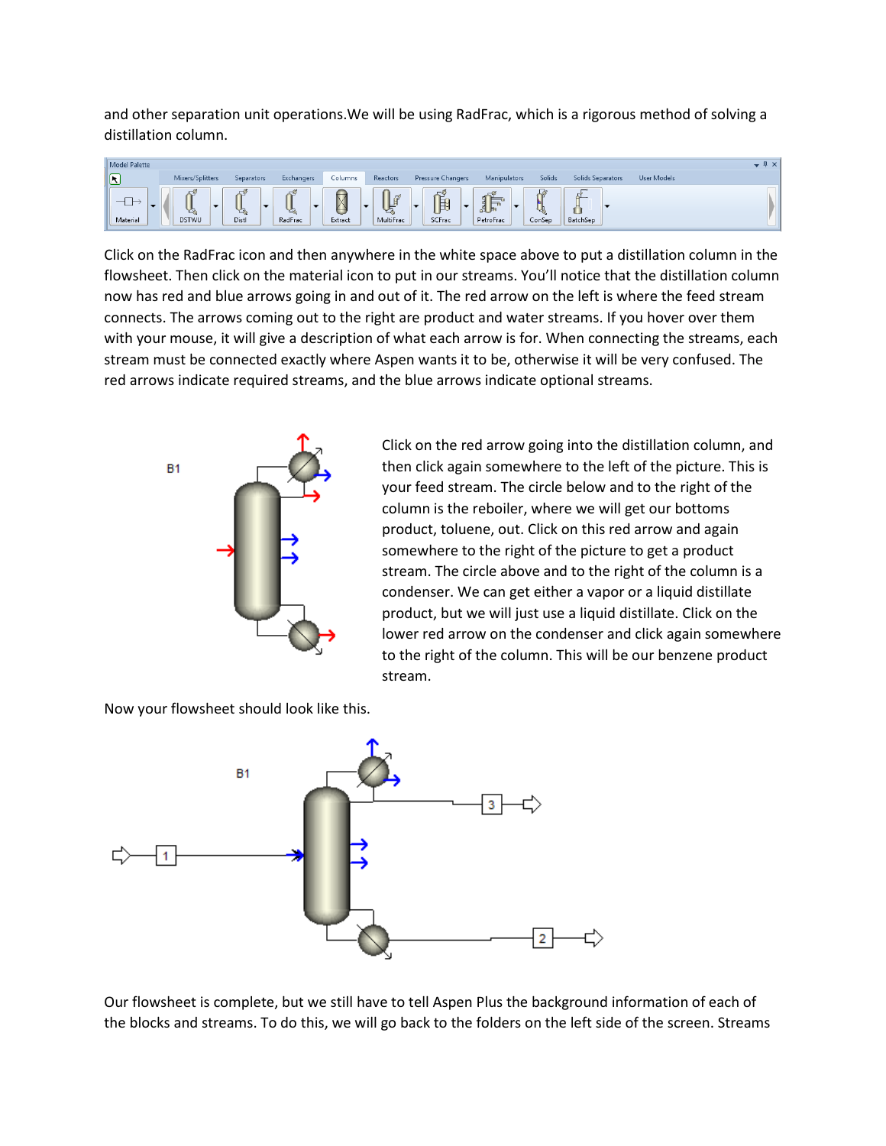and other separation unit operations.We will be using RadFrac, which is a rigorous method of solving a distillation column.



Click on the RadFrac icon and then anywhere in the white space above to put a distillation column in the flowsheet. Then click on the material icon to put in our streams. You'll notice that the distillation column now has red and blue arrows going in and out of it. The red arrow on the left is where the feed stream connects. The arrows coming out to the right are product and water streams. If you hover over them with your mouse, it will give a description of what each arrow is for. When connecting the streams, each stream must be connected exactly where Aspen wants it to be, otherwise it will be very confused. The red arrows indicate required streams, and the blue arrows indicate optional streams.



Click on the red arrow going into the distillation column, and then click again somewhere to the left of the picture. This is your feed stream. The circle below and to the right of the column is the reboiler, where we will get our bottoms product, toluene, out. Click on this red arrow and again somewhere to the right of the picture to get a product stream. The circle above and to the right of the column is a condenser. We can get either a vapor or a liquid distillate product, but we will just use a liquid distillate. Click on the lower red arrow on the condenser and click again somewhere to the right of the column. This will be our benzene product stream.

Now your flowsheet should look like this.



Our flowsheet is complete, but we still have to tell Aspen Plus the background information of each of the blocks and streams. To do this, we will go back to the folders on the left side of the screen. Streams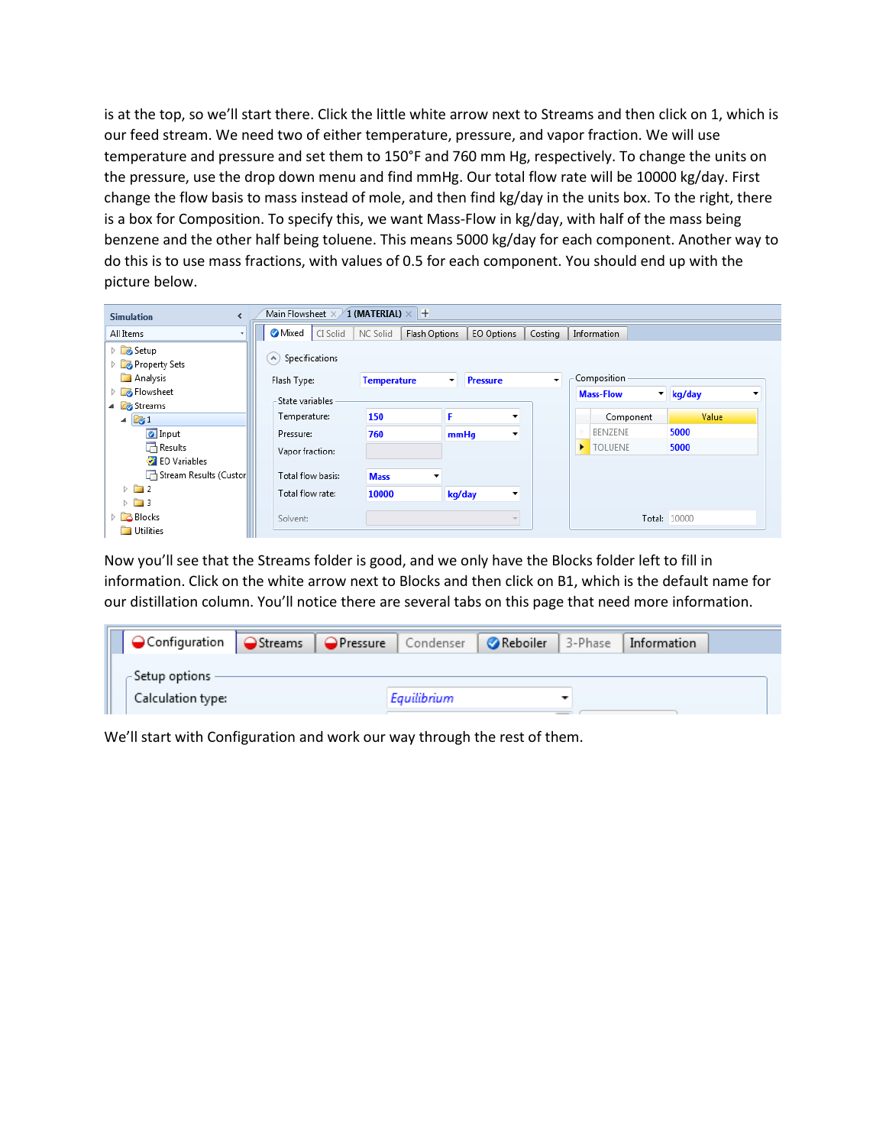is at the top, so we'll start there. Click the little white arrow next to Streams and then click on 1, which is our feed stream. We need two of either temperature, pressure, and vapor fraction. We will use temperature and pressure and set them to 150°F and 760 mm Hg, respectively. To change the units on the pressure, use the drop down menu and find mmHg. Our total flow rate will be 10000 kg/day. First change the flow basis to mass instead of mole, and then find kg/day in the units box. To the right, there is a box for Composition. To specify this, we want Mass-Flow in kg/day, with half of the mass being benzene and the other half being toluene. This means 5000 kg/day for each component. Another way to do this is to use mass fractions, with values of 0.5 for each component. You should end up with the picture below.

| Main Flowsheet X.<br>$\times$ 1 (MATERIAL) $\times$ $+$<br><b>Simulation</b> |                   |                    |                          |                          |         |   |                  |                     |       |         |
|------------------------------------------------------------------------------|-------------------|--------------------|--------------------------|--------------------------|---------|---|------------------|---------------------|-------|---------|
| All Items                                                                    | Mixed<br>CI Solid | NC Solid           | Flash Options            | EO Options               | Costing |   | Information      |                     |       |         |
| <b>D</b> Setup<br>Property Sets                                              | A) Specifications |                    |                          |                          |         |   |                  |                     |       |         |
| Analysis                                                                     | Flash Type:       | <b>Temperature</b> | ۰                        | <b>Pressure</b>          | ۰       |   | Composition      |                     |       |         |
| <b>D</b> Flowsheet                                                           | State variables   |                    |                          |                          |         |   | <b>Mass-Flow</b> | $\mathbf{v}$ kg/day |       | $\cdot$ |
| 4 <b>B</b> Streams                                                           |                   |                    |                          |                          |         |   |                  |                     |       |         |
| $\mathbb{Z}1$<br>◢                                                           | Temperature:      | 150                | F                        | $\overline{\phantom{a}}$ |         |   | Component        |                     | Value |         |
| <b>O</b> Input                                                               | Pressure:         | 760                | mmHq                     | $\cdot$                  |         |   | BENZENE          | 5000                |       |         |
| $\Box$ Results                                                               | Vapor fraction:   |                    |                          |                          |         | ▸ | <b>TOLUENE</b>   | 5000                |       |         |
| EO Variables                                                                 |                   |                    |                          |                          |         |   |                  |                     |       |         |
| Stream Results (Custor                                                       | Total flow basis: | <b>Mass</b>        | $\overline{\phantom{a}}$ |                          |         |   |                  |                     |       |         |
| $\triangleright$ 2                                                           | Total flow rate:  | 10000              | kg/day                   | $\overline{\phantom{a}}$ |         |   |                  |                     |       |         |
| $\triangleright$ $\blacksquare$ 3                                            |                   |                    |                          |                          |         |   |                  |                     |       |         |
| $\triangleright$ $\Box$ Blocks                                               | Solvent:          |                    |                          | $\overline{\phantom{a}}$ |         |   |                  | Total: 10000        |       |         |
| Utilities                                                                    |                   |                    |                          |                          |         |   |                  |                     |       |         |

Now you'll see that the Streams folder is good, and we only have the Blocks folder left to fill in information. Click on the white arrow next to Blocks and then click on B1, which is the default name for our distillation column. You'll notice there are several tabs on this page that need more information.

| OConfiguration   OStreams   OPressure   Condenser   OReboiler   3-Phase   Information |  |             |  |  |
|---------------------------------------------------------------------------------------|--|-------------|--|--|
| - Setup options -                                                                     |  |             |  |  |
| Calculation type:                                                                     |  | Eauilibrium |  |  |

We'll start with Configuration and work our way through the rest of them.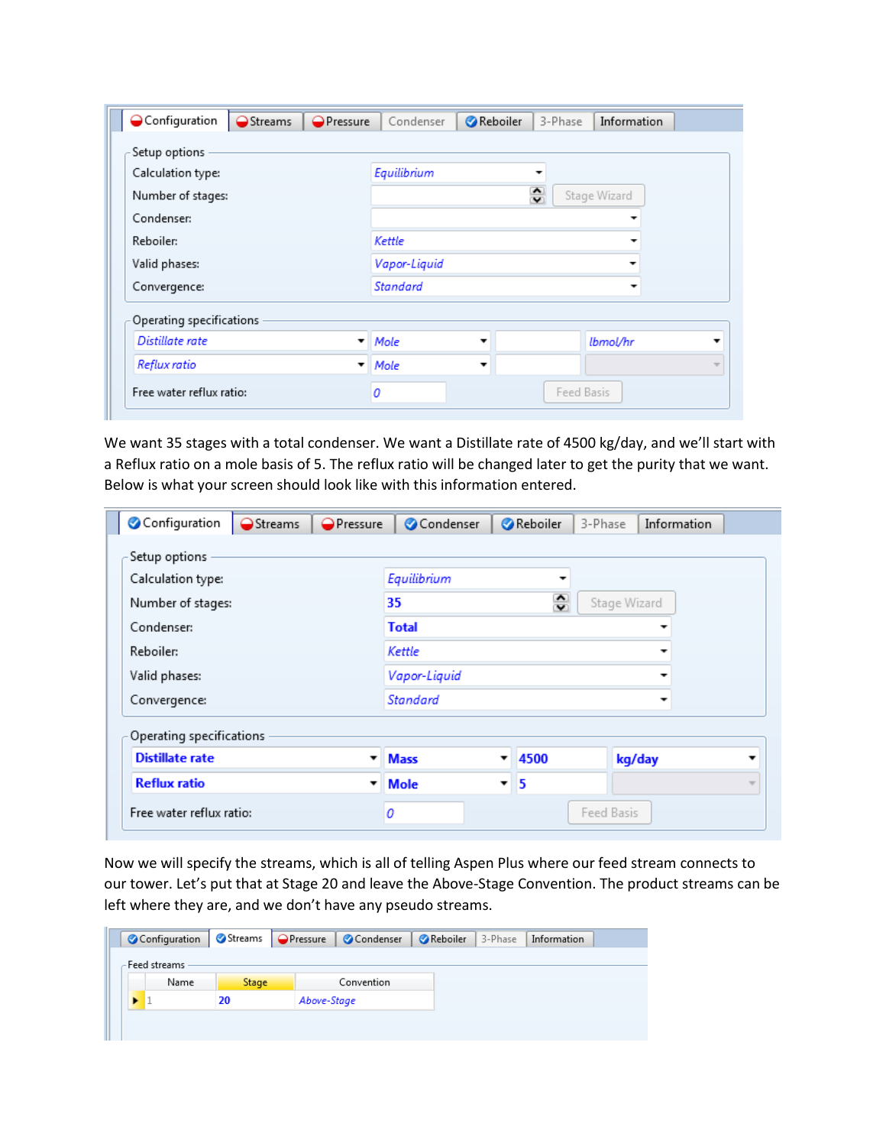| Configuration            | Streams | <b>OPressure</b> | Condenser                     | <b>Reboiler</b><br>3-Phase | Information |  |  |  |  |
|--------------------------|---------|------------------|-------------------------------|----------------------------|-------------|--|--|--|--|
| Setup options            |         |                  |                               |                            |             |  |  |  |  |
| Calculation type:        |         |                  | Equilibrium                   |                            |             |  |  |  |  |
| Number of stages:        |         |                  | $\hat{\cdot}$<br>Stage Wizard |                            |             |  |  |  |  |
| Condenser:               |         |                  |                               |                            |             |  |  |  |  |
| Reboiler:                |         |                  | Kettle                        |                            |             |  |  |  |  |
| Valid phases:            |         |                  | Vapor-Liquid                  |                            |             |  |  |  |  |
| Convergence:             |         |                  | <b>Standard</b>               |                            |             |  |  |  |  |
| Operating specifications |         |                  |                               |                            |             |  |  |  |  |
| Distillate rate          |         | $\cdot$          | Mole<br>▼                     |                            | lbmol/hr    |  |  |  |  |
| Reflux ratio             |         | ▼                | Mole<br>▼                     |                            |             |  |  |  |  |
| Free water reflux ratio: |         | 0                |                               |                            | Feed Basis  |  |  |  |  |

We want 35 stages with a total condenser. We want a Distillate rate of 4500 kg/day, and we'll start with a Reflux ratio on a mole basis of 5. The reflux ratio will be changed later to get the purity that we want. Below is what your screen should look like with this information entered.

| Configuration                                      | Streams | <b>OPressure</b>         | Condenser                           | <b>Reboiler</b> | 3-Phase                  | Information |                          |  |  |  |
|----------------------------------------------------|---------|--------------------------|-------------------------------------|-----------------|--------------------------|-------------|--------------------------|--|--|--|
| Setup options                                      |         |                          |                                     |                 |                          |             |                          |  |  |  |
| Calculation type:                                  |         |                          | Equilibrium                         |                 | $\overline{\phantom{a}}$ |             |                          |  |  |  |
| Number of stages:                                  |         |                          | $\hat{\cdot}$<br>35<br>Stage Wizard |                 |                          |             |                          |  |  |  |
| Condenser:                                         |         |                          | <b>Total</b>                        |                 |                          |             |                          |  |  |  |
| Reboiler:                                          |         |                          | Kettle                              |                 |                          |             |                          |  |  |  |
| Valid phases:                                      |         |                          | Vapor-Liquid                        |                 |                          |             |                          |  |  |  |
| Convergence:                                       |         |                          | <b>Standard</b>                     |                 |                          |             |                          |  |  |  |
| Operating specifications<br><b>Distillate rate</b> |         | $\overline{\phantom{a}}$ | <b>Mass</b>                         | 4500<br>▼       |                          | kg/day      |                          |  |  |  |
| <b>Reflux ratio</b>                                |         | ▼                        | Mole                                | 15              |                          |             | $\overline{\mathcal{M}}$ |  |  |  |
| Free water reflux ratio:                           |         | 0                        |                                     |                 | Feed Basis               |             |                          |  |  |  |

Now we will specify the streams, which is all of telling Aspen Plus where our feed stream connects to our tower. Let's put that at Stage 20 and leave the Above-Stage Convention. The product streams can be left where they are, and we don't have any pseudo streams.

|                |                   |  |            |  | ◯ Configuration   ◯ Streams   ◯ Pressure   ◯ Condenser   ◯ Reboiler   3-Phase |  |
|----------------|-------------------|--|------------|--|-------------------------------------------------------------------------------|--|
| Feed streams - |                   |  |            |  |                                                                               |  |
| Name           | <b>Stage</b>      |  | Convention |  |                                                                               |  |
|                | 20<br>Above-Stage |  |            |  |                                                                               |  |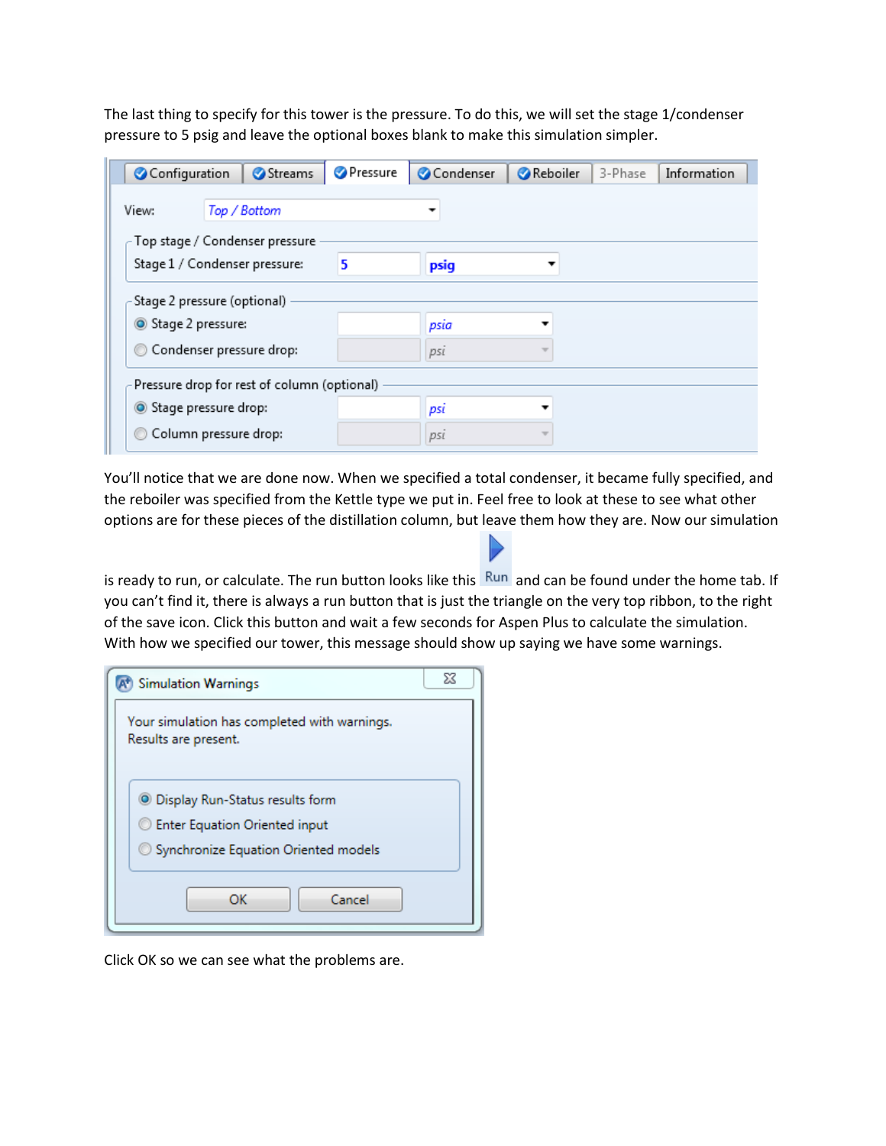The last thing to specify for this tower is the pressure. To do this, we will set the stage 1/condenser pressure to 5 psig and leave the optional boxes blank to make this simulation simpler.

| Configuration        | Streams                                     | <b>Pressure</b> | Condenser                | <b>Reboiler</b> | 3-Phase | Information |  |  |  |
|----------------------|---------------------------------------------|-----------------|--------------------------|-----------------|---------|-------------|--|--|--|
| View:                | Top / Bottom                                |                 | $\overline{\phantom{a}}$ |                 |         |             |  |  |  |
|                      | Top stage / Condenser pressure              |                 |                          |                 |         |             |  |  |  |
|                      | Stage 1 / Condenser pressure:               | 5               | psig                     |                 |         |             |  |  |  |
|                      | Stage 2 pressure (optional)                 |                 |                          |                 |         |             |  |  |  |
| Stage 2 pressure:    |                                             |                 | psia                     |                 |         |             |  |  |  |
|                      | Condenser pressure drop:                    |                 | pst                      | ÷               |         |             |  |  |  |
|                      | Pressure drop for rest of column (optional) |                 |                          |                 |         |             |  |  |  |
| Stage pressure drop: |                                             |                 | psi                      | ▼               |         |             |  |  |  |
|                      | Column pressure drop:                       |                 | pst                      | v               |         |             |  |  |  |

You'll notice that we are done now. When we specified a total condenser, it became fully specified, and the reboiler was specified from the Kettle type we put in. Feel free to look at these to see what other options are for these pieces of the distillation column, but leave them how they are. Now our simulation

is ready to run, or calculate. The run button looks like this Run and can be found under the home tab. If you can't find it, there is always a run button that is just the triangle on the very top ribbon, to the right of the save icon. Click this button and wait a few seconds for Aspen Plus to calculate the simulation. With how we specified our tower, this message should show up saying we have some warnings.

| <b>Simulation Warnings</b>                                                                                               | ΣŜ |
|--------------------------------------------------------------------------------------------------------------------------|----|
| Your simulation has completed with warnings.<br>Results are present.                                                     |    |
| <b>S</b> Display Run-Status results form<br><b>Enter Equation Oriented input</b><br>Synchronize Equation Oriented models |    |
| Cancel<br>ОК                                                                                                             |    |

Click OK so we can see what the problems are.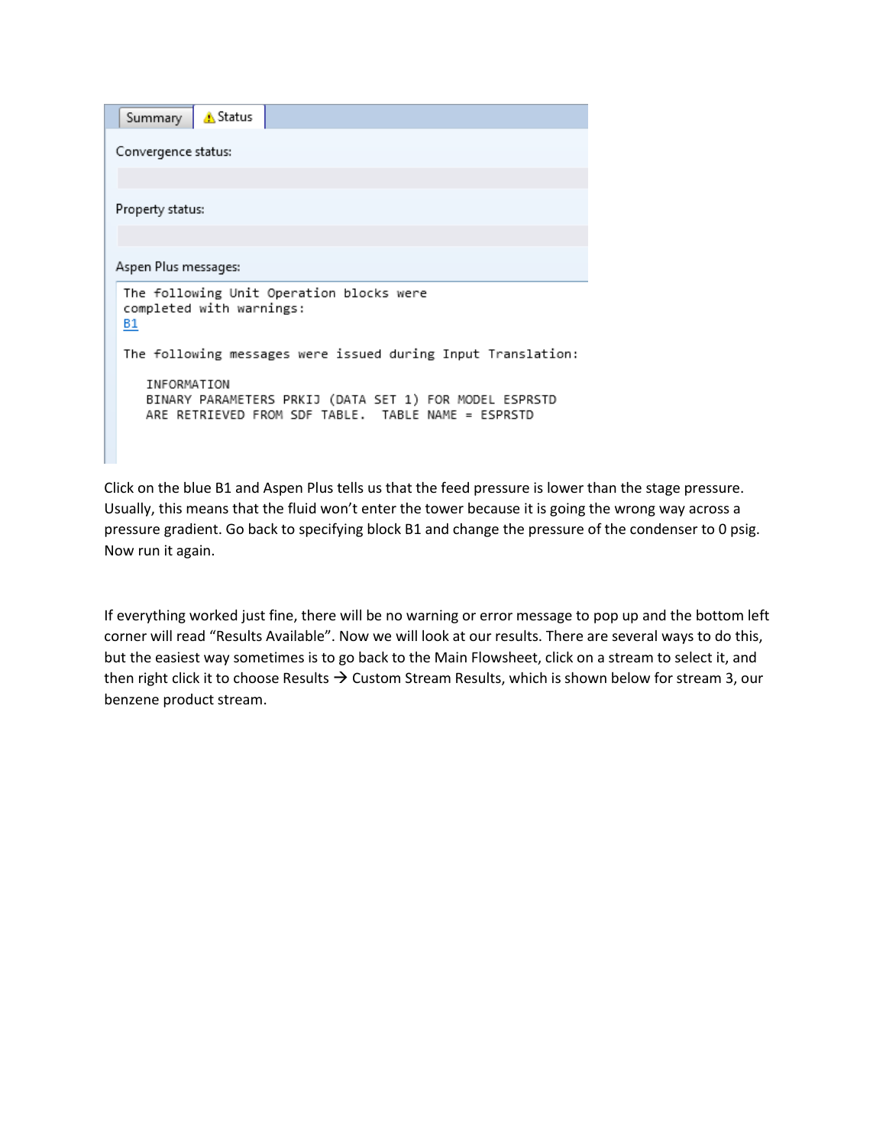| A Status<br>Summary                                                                                                         |
|-----------------------------------------------------------------------------------------------------------------------------|
| Convergence status:                                                                                                         |
|                                                                                                                             |
| Property status:                                                                                                            |
|                                                                                                                             |
| Aspen Plus messages:                                                                                                        |
| The following Unit Operation blocks were<br>completed with warnings:<br>B1                                                  |
| The following messages were issued during Input Translation:                                                                |
| INFORMATION<br>BINARY PARAMETERS PRKIJ (DATA SET 1) FOR MODEL ESPRSTD<br>ARE RETRIEVED FROM SDF TABLE. TABLE NAME = ESPRSTD |
|                                                                                                                             |

Click on the blue B1 and Aspen Plus tells us that the feed pressure is lower than the stage pressure. Usually, this means that the fluid won't enter the tower because it is going the wrong way across a pressure gradient. Go back to specifying block B1 and change the pressure of the condenser to 0 psig. Now run it again.

If everything worked just fine, there will be no warning or error message to pop up and the bottom left corner will read "Results Available". Now we will look at our results. There are several ways to do this, but the easiest way sometimes is to go back to the Main Flowsheet, click on a stream to select it, and then right click it to choose Results  $\rightarrow$  Custom Stream Results, which is shown below for stream 3, our benzene product stream.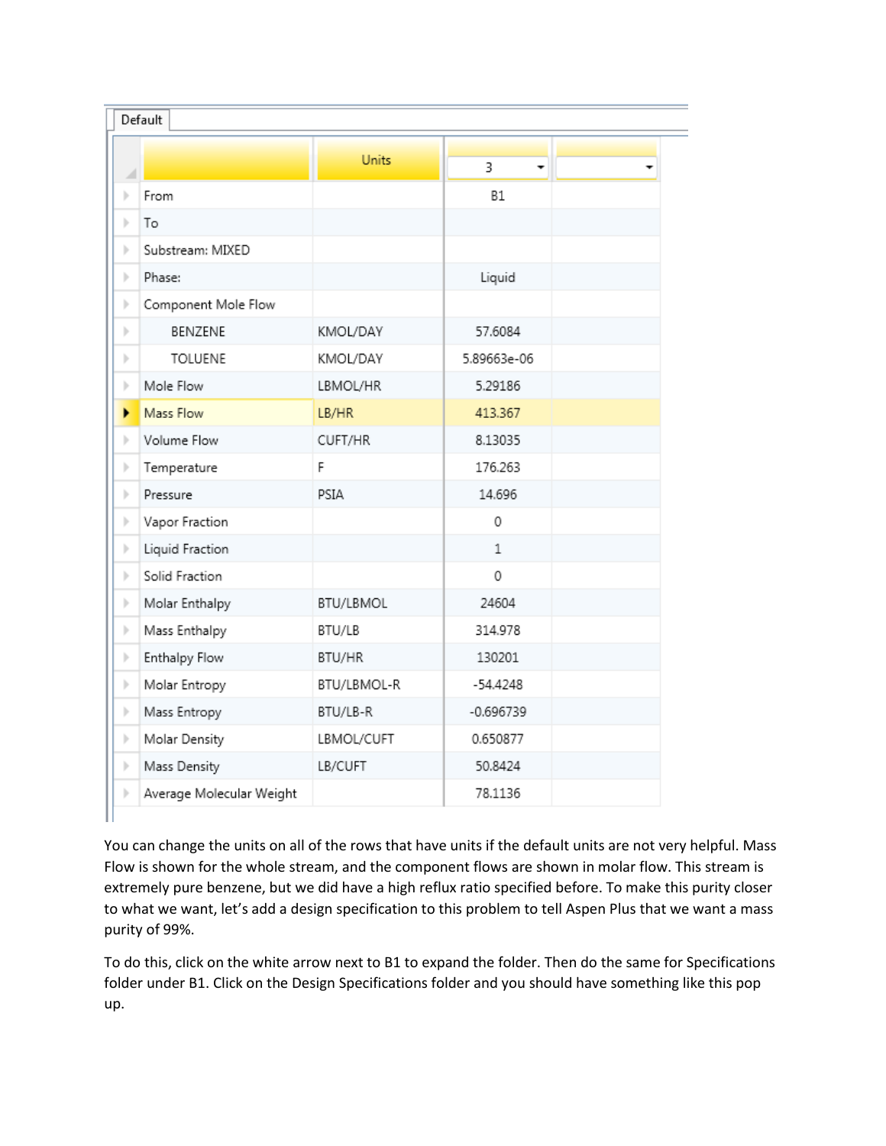|                               | <b>Units</b> | 3<br>÷      |  |
|-------------------------------|--------------|-------------|--|
| From<br>ь                     |              | <b>B1</b>   |  |
| ь<br>To                       |              |             |  |
| Substream: MIXED<br>ь         |              |             |  |
| Phase:<br>ь                   |              | Liquid      |  |
| Component Mole Flow<br>þ.     |              |             |  |
| BENZENE<br>ь                  | KMOL/DAY     | 57.6084     |  |
| <b>TOLUENE</b><br>þ           | KMOL/DAY     | 5.89663e-06 |  |
| Mole Flow<br>þ                | LBMOL/HR     | 5.29186     |  |
| Mass Flow<br>Þ.               | LB/HR        | 413.367     |  |
| Volume Flow<br>ь              | CUFT/HR      | 8.13035     |  |
| Temperature<br>þ              | F            | 176.263     |  |
| Pressure<br>ь                 | PSIA         | 14.696      |  |
| Vapor Fraction<br>þ.          |              | 0           |  |
| Liquid Fraction<br>þ.         |              | $\mathbf 1$ |  |
| Solid Fraction<br>ь           |              | 0           |  |
| Molar Enthalpy<br>þ.          | BTU/LBMOL    | 24604       |  |
| Mass Enthalpy<br>þ.           | BTU/LB       | 314.978     |  |
| <b>Enthalpy Flow</b><br>þ.    | BTU/HR       | 130201      |  |
| Molar Entropy<br>þ.           | BTU/LBMOL-R  | $-54.4248$  |  |
| Mass Entropy<br>þ.            | BTU/LB-R     | $-0.696739$ |  |
| Molar Density<br>þ.           | LBMOL/CUFT   | 0.650877    |  |
| Mass Density<br>þ.            | LB/CUFT      | 50.8424     |  |
| Average Molecular Weight<br>Þ |              | 78.1136     |  |

You can change the units on all of the rows that have units if the default units are not very helpful. Mass Flow is shown for the whole stream, and the component flows are shown in molar flow. This stream is extremely pure benzene, but we did have a high reflux ratio specified before. To make this purity closer to what we want, let's add a design specification to this problem to tell Aspen Plus that we want a mass purity of 99%.

To do this, click on the white arrow next to B1 to expand the folder. Then do the same for Specifications folder under B1. Click on the Design Specifications folder and you should have something like this pop up.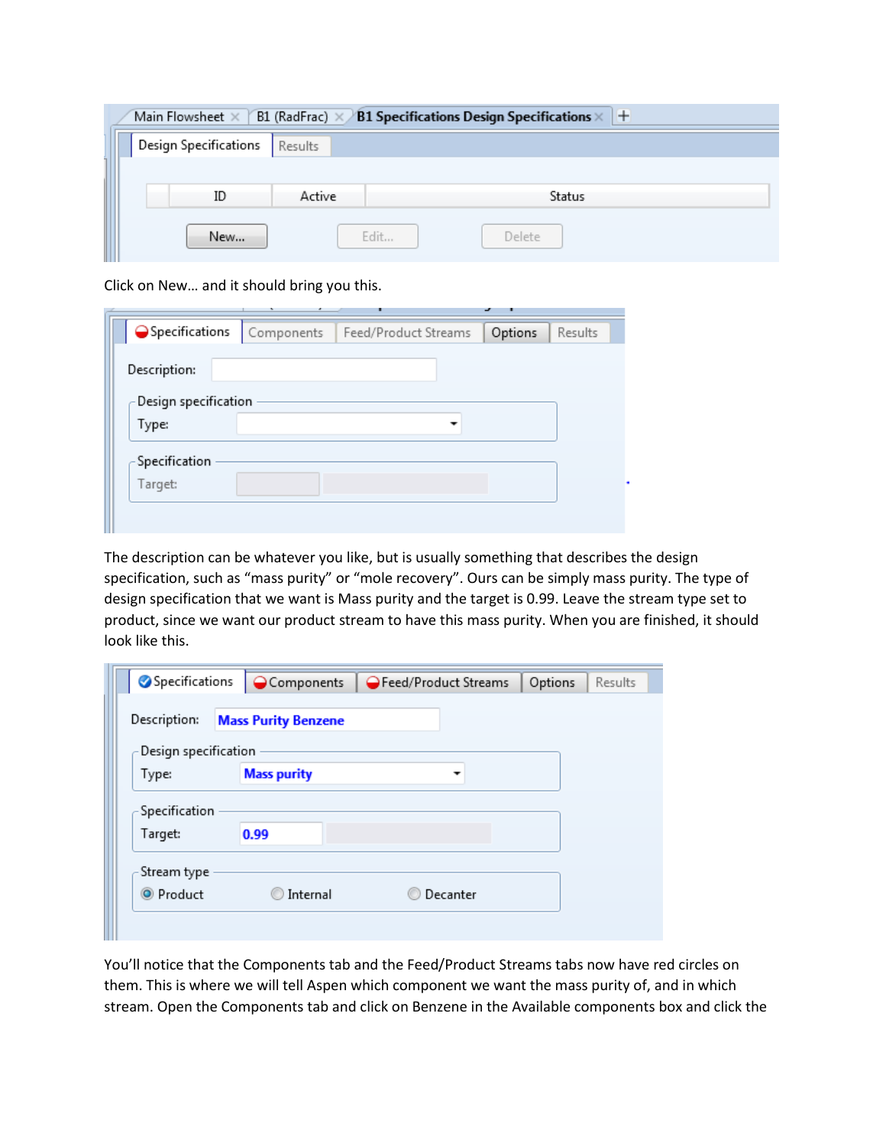| $B1$ (RadFrac) $\times$<br><b>B1 Specifications Design Specifications <math>\times</math></b> +<br>Main Flowsheet $\times$ |                       |         |                |  |  |  |
|----------------------------------------------------------------------------------------------------------------------------|-----------------------|---------|----------------|--|--|--|
|                                                                                                                            | Design Specifications | Results |                |  |  |  |
|                                                                                                                            |                       |         |                |  |  |  |
|                                                                                                                            | ID                    | Active  | Status         |  |  |  |
|                                                                                                                            | New                   |         | Edit<br>Delete |  |  |  |

Click on New… and it should bring you this.

| Specifications       | Components | Feed/Product Streams | Options | Results |
|----------------------|------------|----------------------|---------|---------|
| Description:         |            |                      |         |         |
| Design specification |            |                      |         |         |
|                      |            |                      |         |         |
| Type:                |            |                      |         |         |
|                      |            |                      |         |         |
| Specification        |            |                      |         |         |
| Target:              |            |                      |         |         |
|                      |            |                      |         |         |

The description can be whatever you like, but is usually something that describes the design specification, such as "mass purity" or "mole recovery". Ours can be simply mass purity. The type of design specification that we want is Mass purity and the target is 0.99. Leave the stream type set to product, since we want our product stream to have this mass purity. When you are finished, it should look like this.

| Specifications       | $\bigcirc$ Components      | Feed/Product Streams | Options | Results |
|----------------------|----------------------------|----------------------|---------|---------|
| Description:         | <b>Mass Purity Benzene</b> |                      |         |         |
| Design specification |                            |                      |         |         |
| Type:                | <b>Mass purity</b>         | -                    |         |         |
| Specification        |                            |                      |         |         |
| Target:              | 0.99                       |                      |         |         |
| Stream type          |                            |                      |         |         |
| <sup>O</sup> Product | Internal                   | Decanter             |         |         |

You'll notice that the Components tab and the Feed/Product Streams tabs now have red circles on them. This is where we will tell Aspen which component we want the mass purity of, and in which stream. Open the Components tab and click on Benzene in the Available components box and click the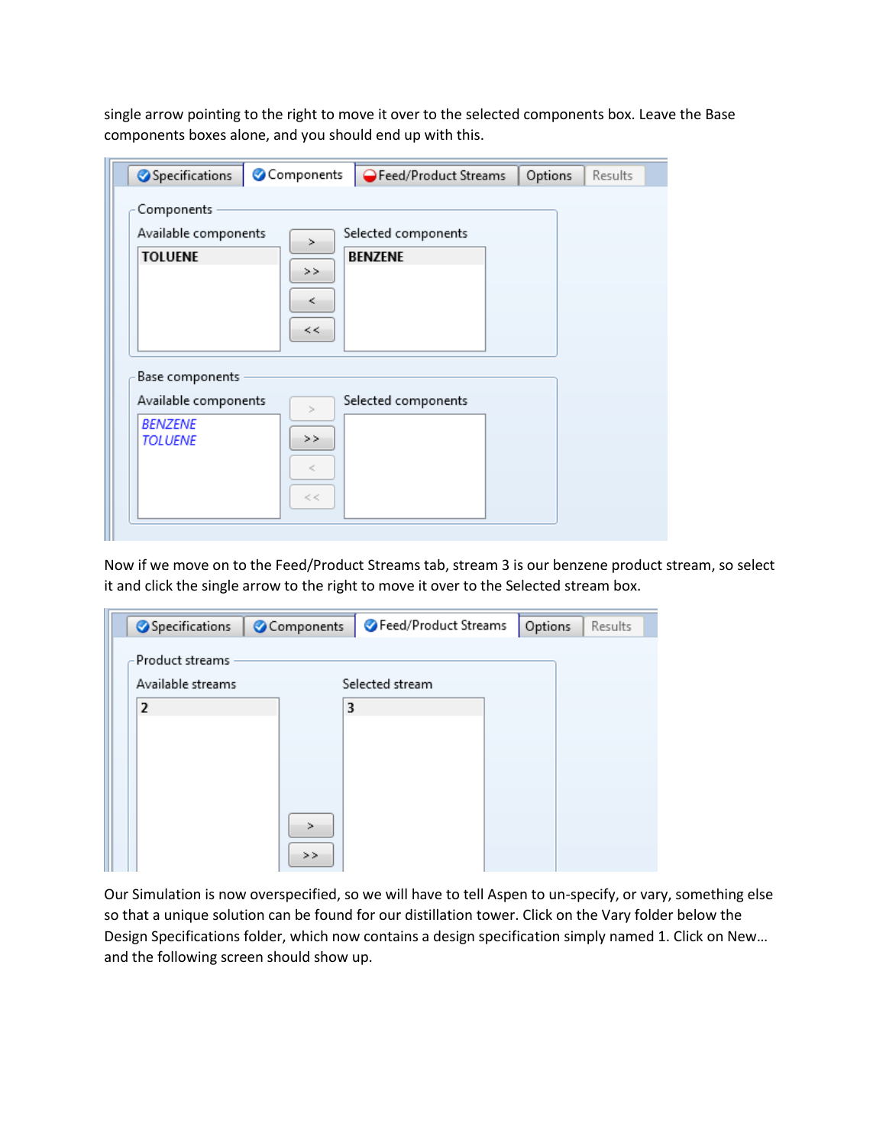single arrow pointing to the right to move it over to the selected components box. Leave the Base components boxes alone, and you should end up with this.

| Specifications       | Components | Feed/Product Streams | Options | Results |
|----------------------|------------|----------------------|---------|---------|
| Components           |            |                      |         |         |
| Available components |            | Selected components  |         |         |
| <b>TOLUENE</b>       | $\geq$     | <b>BENZENE</b>       |         |         |
|                      | >          |                      |         |         |
|                      | ≺          |                      |         |         |
|                      | <<         |                      |         |         |
|                      |            |                      |         |         |
|                      |            |                      |         |         |
|                      |            |                      |         |         |
| Base components      |            |                      |         |         |
| Available components | $\geq$     | Selected components  |         |         |
| <b>BENZENE</b>       | >>         |                      |         |         |
| <b>TOLUENE</b>       |            |                      |         |         |
|                      | K,         |                      |         |         |
|                      | $<$ $<$    |                      |         |         |

Now if we move on to the Feed/Product Streams tab, stream 3 is our benzene product stream, so select it and click the single arrow to the right to move it over to the Selected stream box.

| Specifications    | Components | Feed/Product Streams | Options | Results |
|-------------------|------------|----------------------|---------|---------|
| Product streams   |            |                      |         |         |
| Available streams |            | Selected stream      |         |         |
| $\overline{2}$    | 3          |                      |         |         |
|                   |            |                      |         |         |
|                   |            |                      |         |         |
|                   |            |                      |         |         |
|                   | >          |                      |         |         |
|                   |            |                      |         |         |
|                   | >>         |                      |         |         |

Our Simulation is now overspecified, so we will have to tell Aspen to un-specify, or vary, something else so that a unique solution can be found for our distillation tower. Click on the Vary folder below the Design Specifications folder, which now contains a design specification simply named 1. Click on New… and the following screen should show up.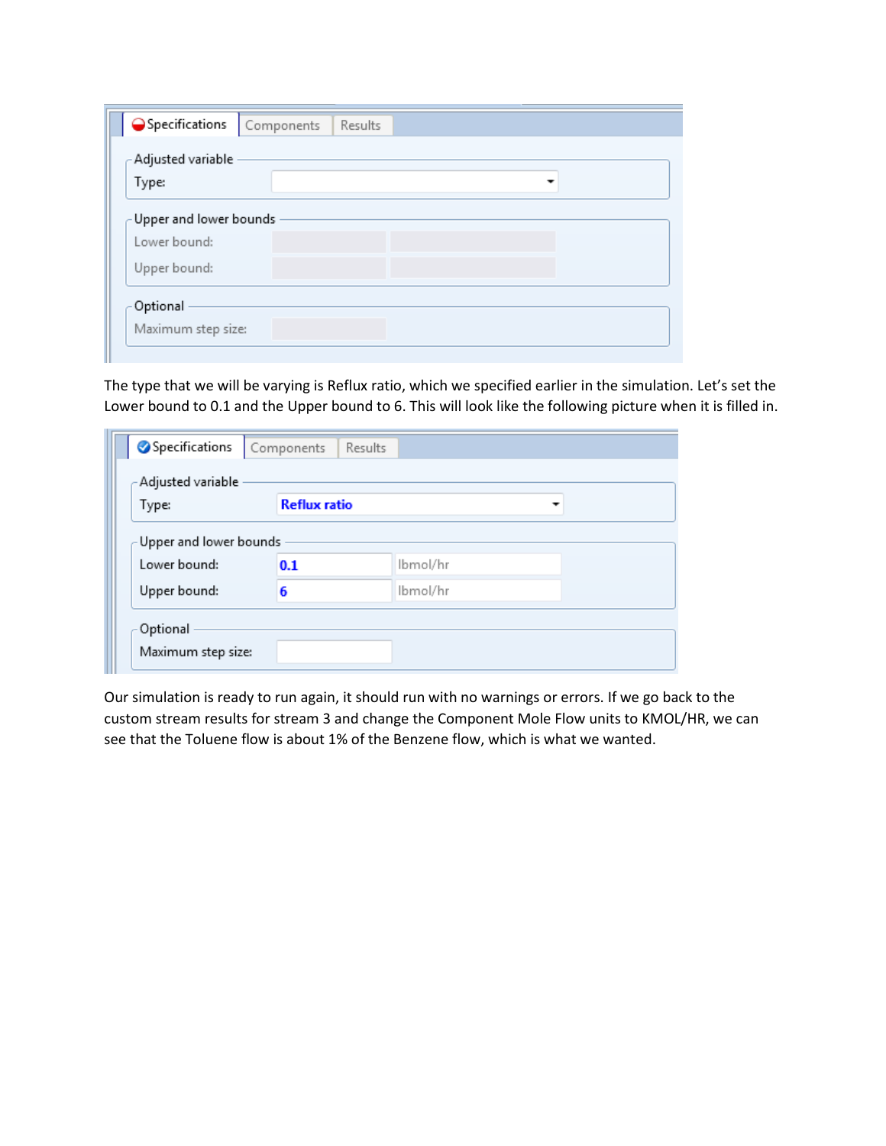The type that we will be varying is Reflux ratio, which we specified earlier in the simulation. Let's set the Lower bound to 0.1 and the Upper bound to 6. This will look like the following picture when it is filled in.

| Specifications                 | Results<br>Components |                          |  |
|--------------------------------|-----------------------|--------------------------|--|
| - Adjusted variable            |                       |                          |  |
| Type:                          | <b>Reflux ratio</b>   | $\overline{\phantom{a}}$ |  |
| Upper and lower bounds         |                       |                          |  |
| Lower bound:                   | 0.1                   | Ibmol/hr                 |  |
| Upper bound:                   | 6                     | Ibmol/hr                 |  |
| Optional<br>Maximum step size: |                       |                          |  |

Our simulation is ready to run again, it should run with no warnings or errors. If we go back to the custom stream results for stream 3 and change the Component Mole Flow units to KMOL/HR, we can see that the Toluene flow is about 1% of the Benzene flow, which is what we wanted.